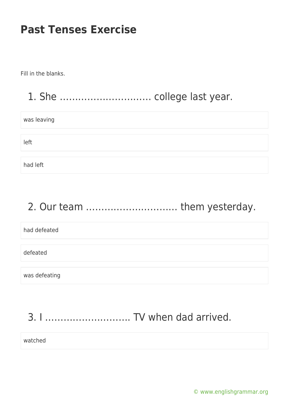Fill in the blanks.

### 1. She ………………………… college last year.

| was leaving |  |
|-------------|--|
|             |  |
| left        |  |
|             |  |
| had left    |  |

# 2. Our team ………………………… them yesterday.

had defeated defeated was defeating

# 3. I ………………………. TV when dad arrived.

watched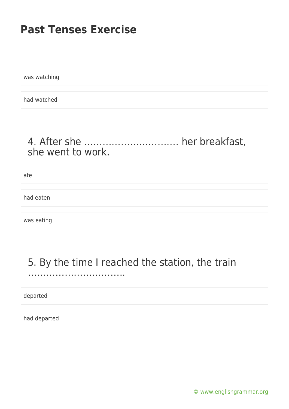was watching

had watched

### 4. After she …………………………. her breakfast, she went to work.

ate

had eaten

was eating

#### 5. By the time I reached the station, the train …………………………..

departed

had departed

[© www.englishgrammar.org](https://www.englishgrammar.org/)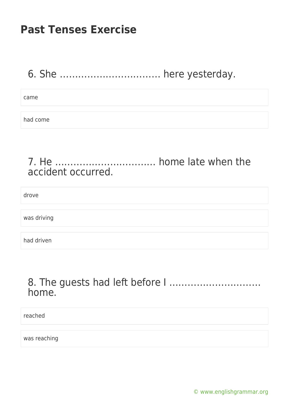### 6. She …………………………… here yesterday.

came

had come

#### 7. He …………………………… home late when the accident occurred.

drove

was driving

had driven

#### 8. The guests had left before I ………………………… home.

reached

was reaching

[© www.englishgrammar.org](https://www.englishgrammar.org/)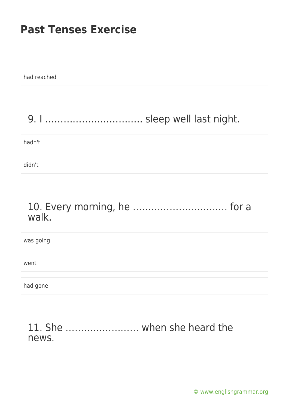| hadn't |
|--------|
|        |
|        |
| didn't |

#### 10. Every morning, he …………………………. for a walk.

| was going |  |
|-----------|--|
|           |  |
| went      |  |
|           |  |
| had gone  |  |

11. She …………………… when she heard the news.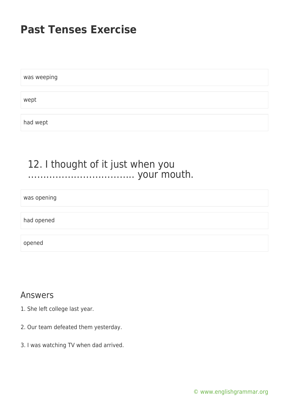was weeping wept had wept

#### 12. I thought of it just when you …………………………….. your mouth.

was opening

had opened

opened

#### Answers

- 1. She left college last year.
- 2. Our team defeated them yesterday.
- 3. I was watching TV when dad arrived.